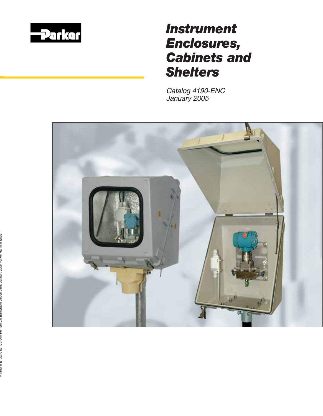

# *Instrument Enclosures, Cabinets and Shelters*

Catalog 4190-ENC January 2005

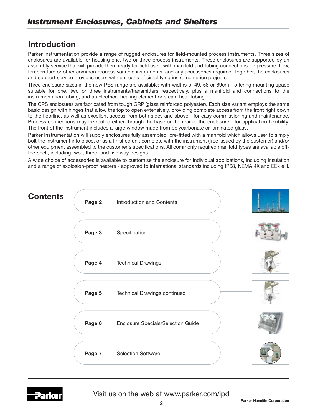## **Introduction**

Parker Instrumentation provide a range of rugged enclosures for field-mounted process instruments. Three sizes of enclosures are available for housing one, two or three process instruments. These enclosures are supported by an assembly service that will provide them ready for field use - with manifold and tubing connections for pressure, flow, temperature or other common process variable instruments, and any accessories required. Together, the enclosures and support service provides users with a means of simplifying instrumentation projects.

Three enclosure sizes in the new PES range are available: with widths of 49, 58 or 69cm - offering mounting space suitable for one, two or three instruments/transmitters respectively, plus a manifold and connections to the instrumentation tubing, and an electrical heating element or steam heat tubing.

The CPS enclosures are fabricated from tough GRP (glass reinforced polyester). Each size variant employs the same basic design with hinges that allow the top to open extensively, providing complete access from the front right down to the floorline, as well as excellent access from both sides and above - for easy commissioning and maintenance. Process connections may be routed either through the base or the rear of the enclosure - for application flexibility. The front of the instrument includes a large window made from polycarbonate or laminated glass.

Parker Instrumentation will supply enclosures fully assembled: pre-fitted with a manifold which allows user to simply bolt the instrument into place, or as a finished unit complete with the instrument (free issued by the customer) and/or other equipment assembled to the customer's specifications. All commonly required manifold types are available offthe-shelf, including two-, three- and five way designs.

A wide choice of accessories is available to customise the enclosure for individual applications, including insulation and a range of explosion-proof heaters - approved to international standards including IP68, NEMA 4X and EEx e ll.



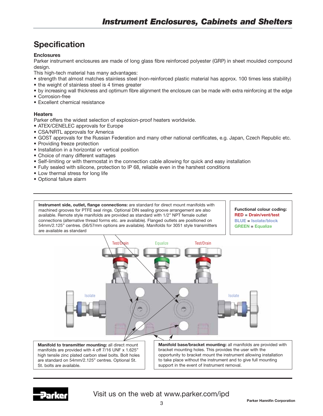## **Specification**

#### **Enclosures**

Parker instrument enclosures are made of long glass fibre reinforced polyester (GRP) in sheet moulded compound design.

This high-tech material has many advantages:

- strength that almost matches stainless steel (non-reinforced plastic material has approx. 100 times less stability)
- the weight of stainless steel is 4 times greater
- by increasing wall thickness and optimum fibre alignment the enclosure can be made with extra reinforcing at the edge
- Corrosion-free
- Excellent chemical resistance

#### **Heaters**

Parker offers the widest selection of explosion-proof heaters worldwide.

- ATEX/CENELEC approvals for Europe
- CSA/NRTL approvals for America
- GOST approvals for the Russian Federation and many other national certificates, e.g. Japan, Czech Republic etc.
- Providing freeze protection
- Installation in a horizontal or vertical position
- Choice of many different wattages
- Self-limiting or with thermostat in the connection cable allowing for quick and easy installation
- Fully sealed with silicone, protection to IP 68, reliable even in the harshest conditions
- Low thermal stress for long life
- Optional failure alarm

**Instrument side, outlet, flange connections:** are standard for direct mount manifolds with machined grooves for PTFE seal rings. Optional DIN sealing groove arrangement are also available. Remote style manifolds are provided as standard with 1/2" NPT female outlet connections (alternative thread forms etc. are available). Flanged outlets are positioned on 54mm/2.125" centres. (56/57mm options are available). Manifolds for 3051 style transmitters are available as standard

**Functional colour coding: RED = Drain/vent/test BLUE = Isolate/block GREEN = Equalize**



**Manifold to transmitter mounting:** all direct mount manifolds are provided with 4 off 7/16 UNF x 1.625" high tensile zinc plated carbon steel bolts. Bolt holes are standard on 54mm/2.125" centres. Optional St. St. bolts are available.

**Manifold base/bracket mounting:** all manifolds are provided with bracket mounting holes. This provides the user with the opportunity to bracket mount the instrument allowing installation to take place without the instrument and to give full mounting support in the event of Instrument removal.

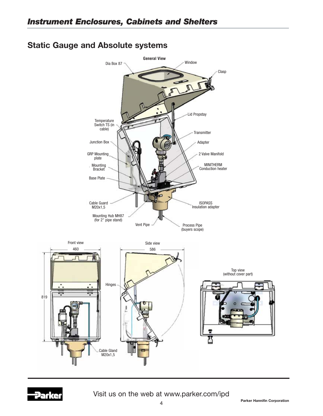## **Static Gauge and Absolute systems**



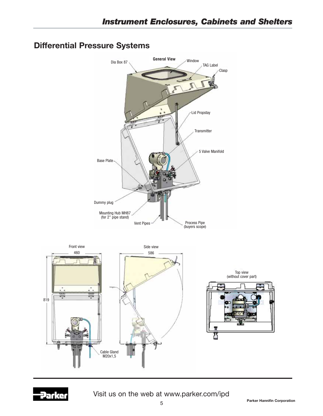

## **Differential Pressure Systems**

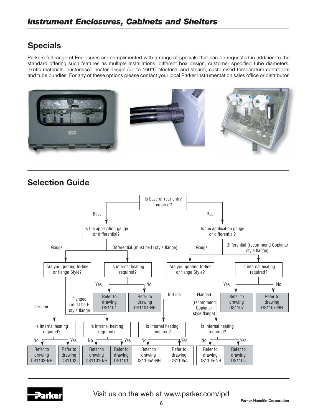## **Specials**

Parkers full range of Enclosures are complimented with a range of specials that can be requested in addition to the standard offering such features as multiple installations, different box design, customer specified tube diameters, exotic materials, customised heater design (up to 160°C electrical and steam), customised temperature controllers and tube bundles. For any of these options please contact your local Parker Instrumentation sales office or distributor.



## **Selection Guide**



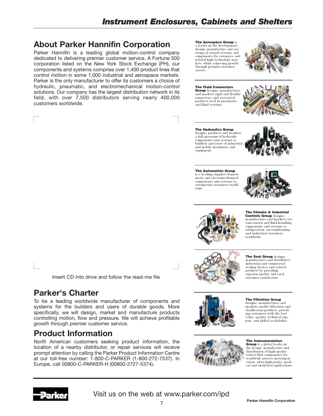## **About Parker Hannifin Corporation**

Parker Hannifin is a leading global motion-control company dedicated to delivering premier customer service. A Fortune 500 corporation listed on the New York Stock Exchange (PH), our components and systems comprise over 1,400 product lines that control motion in some 1,000 industrial and aerospace markets. Parker is the only manufacturer to offer its customers a choice of hydraulic, pneumatic, and electromechanical motion-control solutions. Our company has the largest distribution network in its field, with over 7,500 distributors serving nearly 400,000 customers worldwide.

Insert CD into drive and follow the read-me file

To be a leading worldwide manufacturer of components and systems for the builders and users of durable goods. More specifically, we will design, market and manufacture products controlling motion, flow and pressure. We will achieve profitable

North American customers seeking product information, the location of a nearby distributor, or repair services will receive prompt attention by calling the Parker Product Information Centre at our toll-free number: 1-800-C-PARKER (1-800-272-7537). In

Europe, call 00800-C-PARKER-H (00800-2727-5374).

The Aerospace Group is a leader in the development, design, manufacture and servicing of control systems and components for aerospace and related high-technology markets, while achieving growth through premier customer service.



#### The Fluid Connectors Group designs, manufactures

and markets rigid and flexible connectors, and associated products used in pneumatic and fluid systems



The Hydraulics Group designs, produces and markets a full spectrum of hydraulic components and systems to builders and users of industrial and mobile machinery and equipment.



The Automation Group is a leading supplier of pneumatic and electromechanical components and systems to automation customers worldwide.





Controls Group designs, manufactures and markets system-control and fluid-handling components and systems to refrigeration, air-conditioning and industrial customers



The Seal Group designs, manufactures and distributes industrial and commercial sealing devices and related products by providing superior quality and total customer satisfaction.

#### The Filtration Group

designs, manufactures and markets quality filtration and clarification products, providing customers with the best value, quality, technical sup-port, and global availability.

#### The Instrumentation

Group is a global leader in the design, manufacture and distribution of high-quality critical flow components for worldwide process instrumentation, ultra-high-purity, medical and analytical applications.



**Parker's Charter**

growth through premier customer service.

**Product Information**